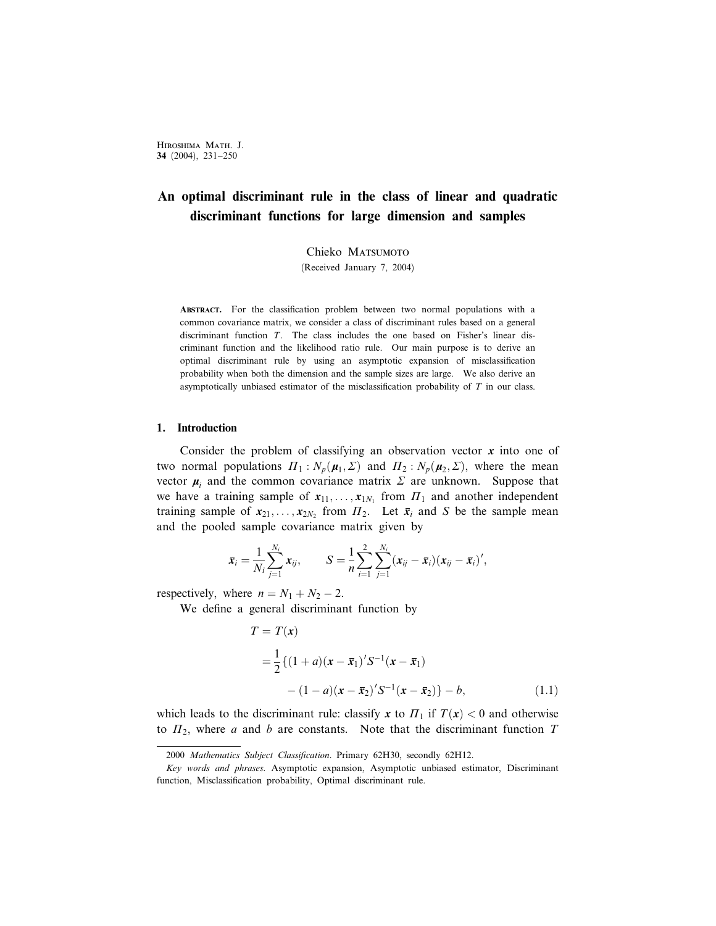# An optimal discriminant rule in the class of linear and quadratic discriminant functions for large dimension and samples

Chieko MATSUMOTO

(Received January 7, 2004)

ABSTRACT. For the classification problem between two normal populations with a common covariance matrix, we consider a class of discriminant rules based on a general discriminant function T. The class includes the one based on Fisher's linear discriminant function and the likelihood ratio rule. Our main purpose is to derive an optimal discriminant rule by using an asymptotic expansion of misclassification probability when both the dimension and the sample sizes are large. We also derive an asymptotically unbiased estimator of the misclassification probability of T in our class.

### 1. Introduction

Consider the problem of classifying an observation vector  $x$  into one of two normal populations  $\Pi_1$ :  $N_p(\mu_1, \Sigma)$  and  $\Pi_2$ :  $N_p(\mu_2, \Sigma)$ , where the mean vector  $\mu_i$  and the common covariance matrix  $\Sigma$  are unknown. Suppose that we have a training sample of  $x_{11}, \ldots, x_{1N_1}$  from  $\Pi_1$  and another independent training sample of  $x_{21}, \ldots, x_{2N_2}$  from  $\Pi_2$ . Let  $\bar{x}_i$  and S be the sample mean and the pooled sample covariance matrix given by

$$
\bar{x}_i = \frac{1}{N_i} \sum_{j=1}^{N_i} x_{ij}, \qquad S = \frac{1}{n} \sum_{i=1}^{2} \sum_{j=1}^{N_i} (x_{ij} - \bar{x}_i)(x_{ij} - \bar{x}_i)',
$$

respectively, where  $n = N_1 + N_2 - 2$ .

We define a general discriminant function by

$$
T = T(\mathbf{x})
$$
  
=  $\frac{1}{2} \{ (1+a)(\mathbf{x} - \bar{\mathbf{x}}_1)' S^{-1} (\mathbf{x} - \bar{\mathbf{x}}_1)$   
–  $(1-a)(\mathbf{x} - \bar{\mathbf{x}}_2)' S^{-1} (\mathbf{x} - \bar{\mathbf{x}}_2) \} - b,$  (1.1)

which leads to the discriminant rule: classify x to  $\Pi_1$  if  $T(x) < 0$  and otherwise to  $\Pi_2$ , where a and b are constants. Note that the discriminant function T

<sup>2000</sup> Mathematics Subject Classification. Primary 62H30, secondly 62H12.

Key words and phrases. Asymptotic expansion, Asymptotic unbiased estimator, Discriminant function, Misclassification probability, Optimal discriminant rule.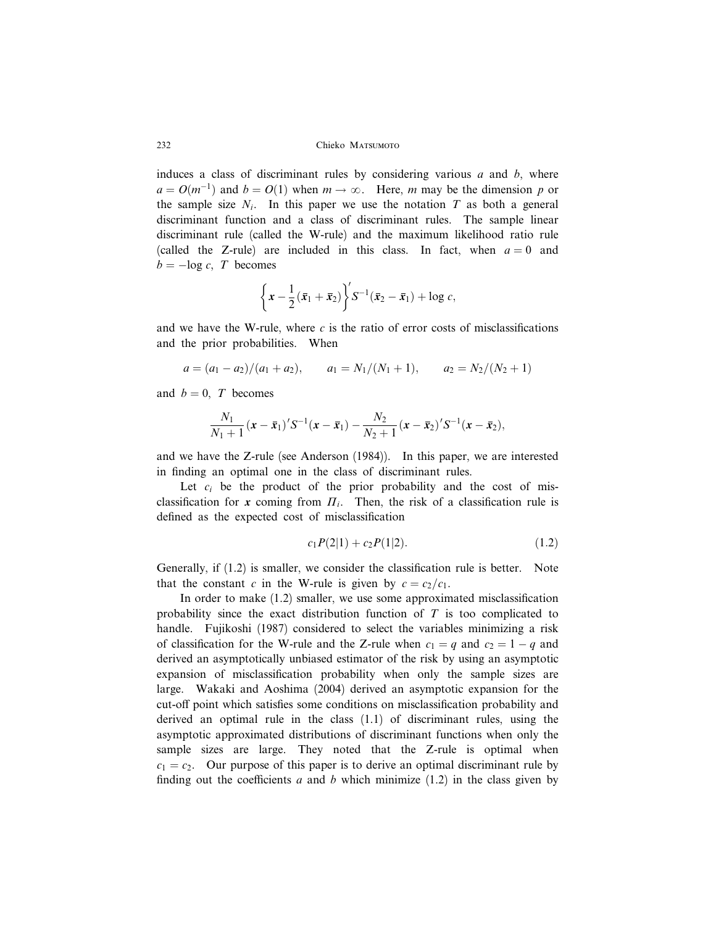induces a class of discriminant rules by considering various  $a$  and  $b$ , where  $a = O(m^{-1})$  and  $b = O(1)$  when  $m \to \infty$ . Here, m may be the dimension p or the sample size  $N_i$ . In this paper we use the notation T as both a general discriminant function and a class of discriminant rules. The sample linear discriminant rule (called the W-rule) and the maximum likelihood ratio rule (called the Z-rule) are included in this class. In fact, when  $a = 0$  and  $b = -\log c$ , T becomes

$$
\left\{x-\frac{1}{2}(\bar{x}_1+\bar{x}_2)\right\}'S^{-1}(\bar{x}_2-\bar{x}_1)+\log c,
$$

and we have the W-rule, where  $c$  is the ratio of error costs of misclassifications and the prior probabilities. When

$$
a = (a_1 - a_2)/(a_1 + a_2), \qquad a_1 = N_1/(N_1 + 1), \qquad a_2 = N_2/(N_2 + 1)
$$

and  $b = 0$ , T becomes

$$
\frac{N_1}{N_1+1}(\mathbf{x}-\bar{\mathbf{x}}_1)'S^{-1}(\mathbf{x}-\bar{\mathbf{x}}_1)-\frac{N_2}{N_2+1}(\mathbf{x}-\bar{\mathbf{x}}_2)'S^{-1}(\mathbf{x}-\bar{\mathbf{x}}_2),
$$

and we have the Z-rule (see Anderson (1984)). In this paper, we are interested in finding an optimal one in the class of discriminant rules.

Let  $c_i$  be the product of the prior probability and the cost of misclassification for x coming from  $\Pi_i$ . Then, the risk of a classification rule is defined as the expected cost of misclassification

$$
c_1 P(2|1) + c_2 P(1|2). \tag{1.2}
$$

Generally, if (1.2) is smaller, we consider the classification rule is better. Note that the constant c in the W-rule is given by  $c = c_2/c_1$ .

In order to make (1.2) smaller, we use some approximated misclassification probability since the exact distribution function of  $T$  is too complicated to handle. Fujikoshi (1987) considered to select the variables minimizing a risk of classification for the W-rule and the Z-rule when  $c_1 = q$  and  $c_2 = 1 - q$  and derived an asymptotically unbiased estimator of the risk by using an asymptotic expansion of misclassification probability when only the sample sizes are large. Wakaki and Aoshima (2004) derived an asymptotic expansion for the cut-off point which satisfies some conditions on misclassification probability and derived an optimal rule in the class (1.1) of discriminant rules, using the asymptotic approximated distributions of discriminant functions when only the sample sizes are large. They noted that the Z-rule is optimal when  $c_1 = c_2$ . Our purpose of this paper is to derive an optimal discriminant rule by finding out the coefficients a and b which minimize  $(1.2)$  in the class given by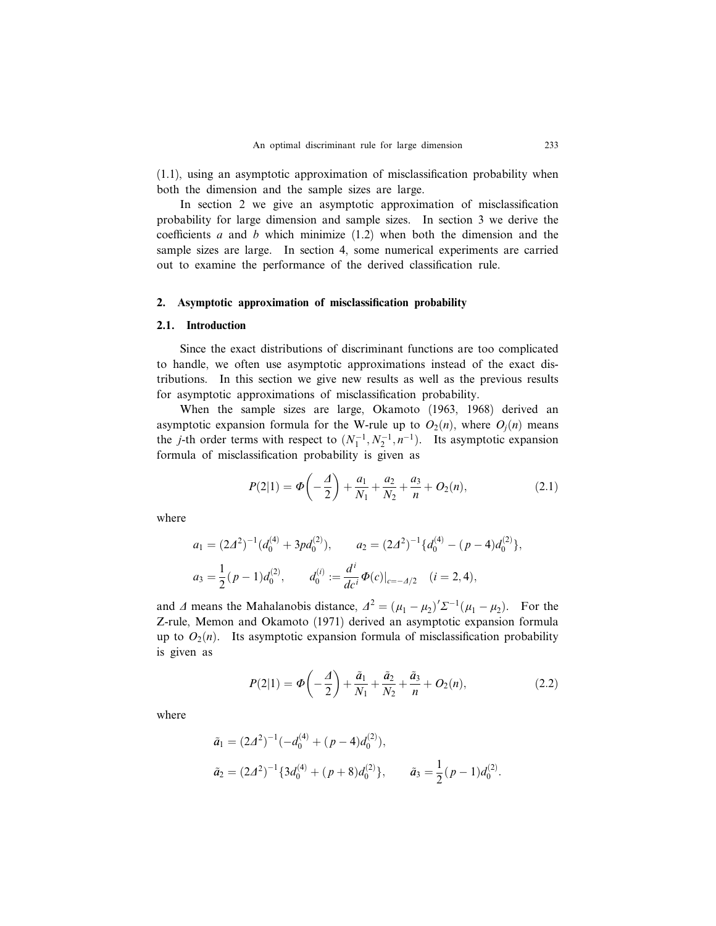(1.1), using an asymptotic approximation of misclassification probability when both the dimension and the sample sizes are large.

In section 2 we give an asymptotic approximation of misclassification probability for large dimension and sample sizes. In section 3 we derive the coefficients a and b which minimize  $(1.2)$  when both the dimension and the sample sizes are large. In section 4, some numerical experiments are carried out to examine the performance of the derived classification rule.

### 2. Asymptotic approximation of misclassification probability

### 2.1. Introduction

Since the exact distributions of discriminant functions are too complicated to handle, we often use asymptotic approximations instead of the exact distributions. In this section we give new results as well as the previous results for asymptotic approximations of misclassification probability.

When the sample sizes are large, Okamoto (1963, 1968) derived an asymptotic expansion formula for the W-rule up to  $O_2(n)$ , where  $O_i(n)$  means the *j*-th order terms with respect to  $(N_1^{-1}, N_2^{-1}, n^{-1})$ . Its asymptotic expansion formula of misclassification probability is given as

$$
P(2|1) = \Phi\left(-\frac{A}{2}\right) + \frac{a_1}{N_1} + \frac{a_2}{N_2} + \frac{a_3}{n} + O_2(n),\tag{2.1}
$$

where

$$
a_1 = (2\Delta^2)^{-1} (d_0^{(4)} + 3pd_0^{(2)}), \qquad a_2 = (2\Delta^2)^{-1} \{d_0^{(4)} - (p-4)d_0^{(2)}\},
$$
  

$$
a_3 = \frac{1}{2}(p-1)d_0^{(2)}, \qquad d_0^{(i)} := \frac{d^i}{dc^i} \Phi(c)|_{c=-\Delta/2} \quad (i = 2, 4),
$$

and  $\Delta$  means the Mahalanobis distance,  $\Delta^2 = (\mu_1 - \mu_2)^{\prime} \Sigma^{-1} (\mu_1 - \mu_2)$ . For the Z-rule, Memon and Okamoto (1971) derived an asymptotic expansion formula up to  $O_2(n)$ . Its asymptotic expansion formula of misclassification probability is given as

$$
P(2|1) = \Phi\left(-\frac{A}{2}\right) + \frac{\tilde{a}_1}{N_1} + \frac{\tilde{a}_2}{N_2} + \frac{\tilde{a}_3}{n} + O_2(n),\tag{2.2}
$$

where

$$
\tilde{a}_1 = (2\Delta^2)^{-1}(-d_0^{(4)} + (p-4)d_0^{(2)}),
$$
  
\n
$$
\tilde{a}_2 = (2\Delta^2)^{-1} \{3d_0^{(4)} + (p+8)d_0^{(2)}\}, \qquad \tilde{a}_3 = \frac{1}{2}(p-1)d_0^{(2)}.
$$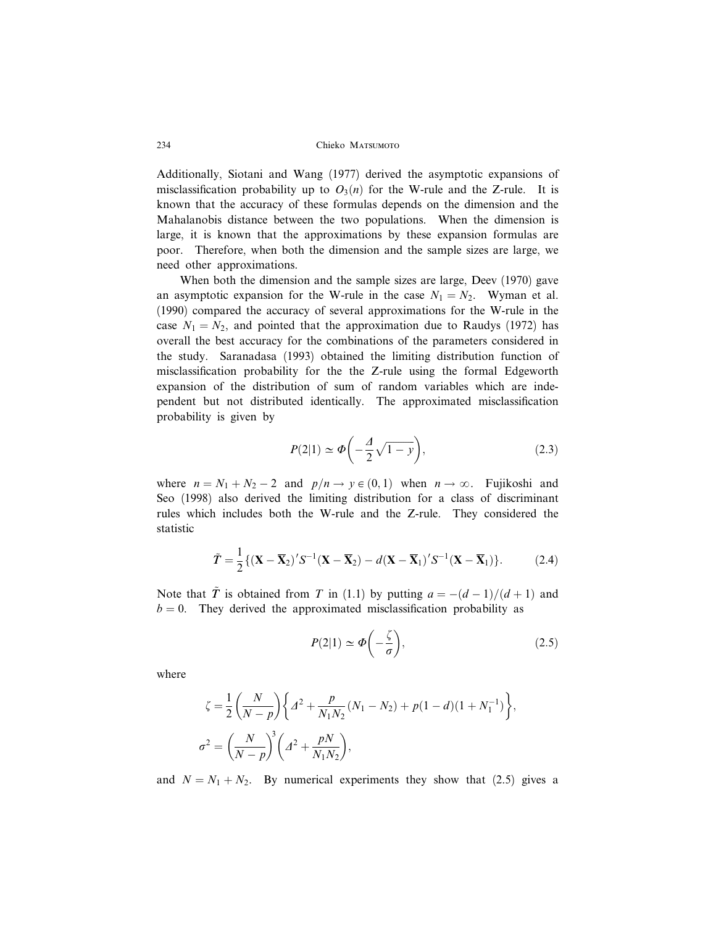Additionally, Siotani and Wang (1977) derived the asymptotic expansions of misclassification probability up to  $O_3(n)$  for the W-rule and the Z-rule. It is known that the accuracy of these formulas depends on the dimension and the Mahalanobis distance between the two populations. When the dimension is large, it is known that the approximations by these expansion formulas are poor. Therefore, when both the dimension and the sample sizes are large, we need other approximations.

When both the dimension and the sample sizes are large, Deev (1970) gave an asymptotic expansion for the W-rule in the case  $N_1 = N_2$ . Wyman et al. (1990) compared the accuracy of several approximations for the W-rule in the case  $N_1 = N_2$ , and pointed that the approximation due to Raudys (1972) has overall the best accuracy for the combinations of the parameters considered in the study. Saranadasa (1993) obtained the limiting distribution function of misclassification probability for the the Z-rule using the formal Edgeworth expansion of the distribution of sum of random variables which are independent but not distributed identically. The approximated misclassification probability is given by

$$
P(2|1) \simeq \Phi\left(-\frac{A}{2}\sqrt{1-y}\right),\tag{2.3}
$$

where  $n = N_1 + N_2 - 2$  and  $p/n \rightarrow y \in (0, 1)$  when  $n \rightarrow \infty$ . Fujikoshi and Seo (1998) also derived the limiting distribution for a class of discriminant rules which includes both the W-rule and the Z-rule. They considered the statistic

$$
\tilde{T} = \frac{1}{2} \{ (\mathbf{X} - \overline{\mathbf{X}}_2)' S^{-1} (\mathbf{X} - \overline{\mathbf{X}}_2) - d(\mathbf{X} - \overline{\mathbf{X}}_1)' S^{-1} (\mathbf{X} - \overline{\mathbf{X}}_1) \}.
$$
 (2.4)

Note that  $\tilde{T}$  is obtained from T in (1.1) by putting  $a = -(d-1)/(d+1)$  and  $b = 0$ . They derived the approximated misclassification probability as

$$
P(2|1) \simeq \Phi\left(-\frac{\zeta}{\sigma}\right),\tag{2.5}
$$

where

$$
\zeta = \frac{1}{2} \left( \frac{N}{N - p} \right) \left\{ \Delta^2 + \frac{p}{N_1 N_2} (N_1 - N_2) + p(1 - d)(1 + N_1^{-1}) \right\},\,
$$
  

$$
\sigma^2 = \left( \frac{N}{N - p} \right)^3 \left( \Delta^2 + \frac{pN}{N_1 N_2} \right),
$$

and  $N = N_1 + N_2$ . By numerical experiments they show that (2.5) gives a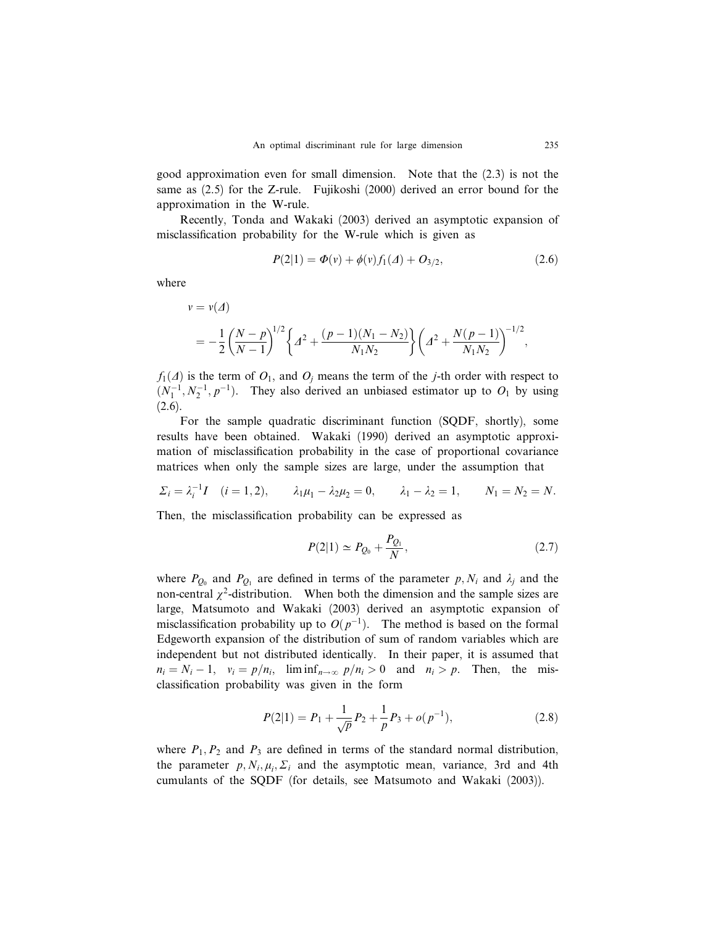good approximation even for small dimension. Note that the (2.3) is not the same as (2.5) for the Z-rule. Fujikoshi (2000) derived an error bound for the approximation in the W-rule.

Recently, Tonda and Wakaki (2003) derived an asymptotic expansion of misclassification probability for the W-rule which is given as

$$
P(2|1) = \Phi(v) + \phi(v)f_1(\Delta) + O_{3/2}, \qquad (2.6)
$$

where

$$
v = v(\Delta)
$$
  
=  $-\frac{1}{2} \left( \frac{N-p}{N-1} \right)^{1/2} \left\{ \Delta^2 + \frac{(p-1)(N_1 - N_2)}{N_1 N_2} \right\} \left( \Delta^2 + \frac{N(p-1)}{N_1 N_2} \right)^{-1/2},$ 

 $f_1(\Delta)$  is the term of  $O_1$ , and  $O_i$  means the term of the j-th order with respect to  $(N_1^{-1}, N_2^{-1}, p^{-1})$ . They also derived an unbiased estimator up to  $O_1$  by using  $(2.6).$ 

For the sample quadratic discriminant function (SQDF, shortly), some results have been obtained. Wakaki (1990) derived an asymptotic approximation of misclassification probability in the case of proportional covariance matrices when only the sample sizes are large, under the assumption that

$$
\Sigma_i = \lambda_i^{-1} I
$$
  $(i = 1, 2),$   $\lambda_1 \mu_1 - \lambda_2 \mu_2 = 0,$   $\lambda_1 - \lambda_2 = 1,$   $N_1 = N_2 = N.$ 

Then, the misclassification probability can be expressed as

$$
P(2|1) \simeq P_{Q_0} + \frac{P_{Q_1}}{N},\tag{2.7}
$$

where  $P_{Q_0}$  and  $P_{Q_1}$  are defined in terms of the parameter p,  $N_i$  and  $\lambda_j$  and the non-central  $\chi^2$ -distribution. When both the dimension and the sample sizes are large, Matsumoto and Wakaki (2003) derived an asymptotic expansion of misclassification probability up to  $O(p^{-1})$ . The method is based on the formal Edgeworth expansion of the distribution of sum of random variables which are independent but not distributed identically. In their paper, it is assumed that  $n_i = N_i - 1$ ,  $v_i = p/n_i$ , lim inf  $n \to \infty$   $p/n_i > 0$  and  $n_i > p$ . Then, the misclassification probability was given in the form

$$
P(2|1) = P_1 + \frac{1}{\sqrt{p}} P_2 + \frac{1}{p} P_3 + o(p^{-1}),
$$
\n(2.8)

where  $P_1, P_2$  and  $P_3$  are defined in terms of the standard normal distribution, the parameter  $p, N_i, \mu_i, \Sigma_i$  and the asymptotic mean, variance, 3rd and 4th cumulants of the SQDF (for details, see Matsumoto and Wakaki (2003)).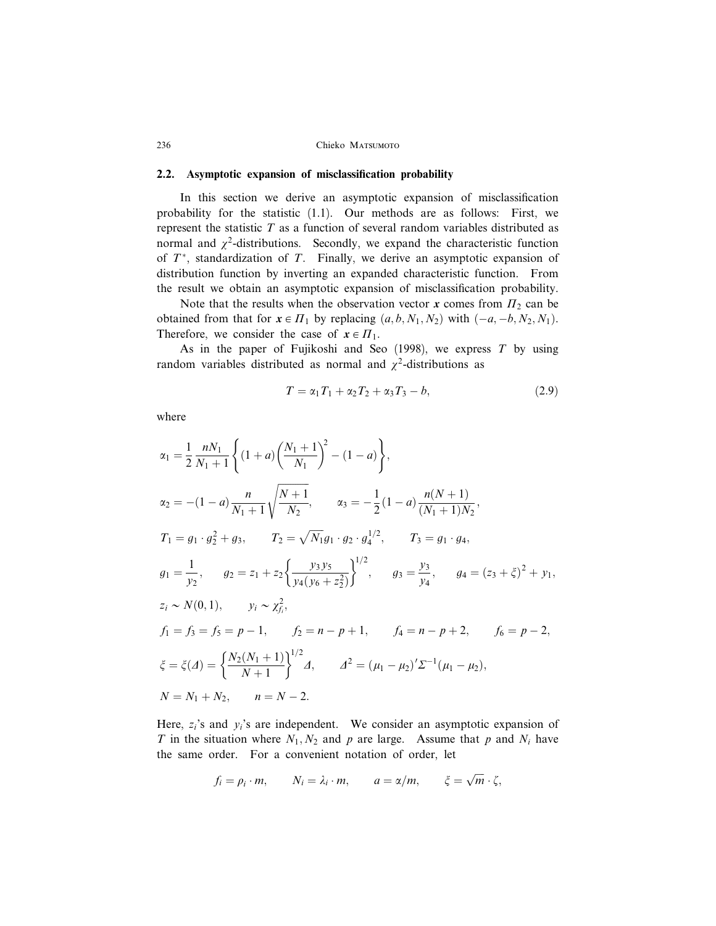### 2.2. Asymptotic expansion of misclassification probability

In this section we derive an asymptotic expansion of misclassification probability for the statistic (1.1). Our methods are as follows: First, we represent the statistic  $T$  as a function of several random variables distributed as normal and  $\chi^2$ -distributions. Secondly, we expand the characteristic function of  $T^*$ , standardization of  $T$ . Finally, we derive an asymptotic expansion of distribution function by inverting an expanded characteristic function. From the result we obtain an asymptotic expansion of misclassification probability.

Note that the results when the observation vector x comes from  $\Pi_2$  can be obtained from that for  $x \in \Pi_1$  by replacing  $(a, b, N_1, N_2)$  with  $(-a, -b, N_2, N_1)$ . Therefore, we consider the case of  $x \in \Pi_1$ .

As in the paper of Fujikoshi and Seo  $(1998)$ , we express T by using random variables distributed as normal and  $\chi^2$ -distributions as

$$
T = \alpha_1 T_1 + \alpha_2 T_2 + \alpha_3 T_3 - b,\tag{2.9}
$$

where

$$
\alpha_1 = \frac{1}{2} \frac{nN_1}{N_1 + 1} \left\{ (1 + a) \left( \frac{N_1 + 1}{N_1} \right)^2 - (1 - a) \right\},
$$
  
\n
$$
\alpha_2 = -(1 - a) \frac{n}{N_1 + 1} \sqrt{\frac{N + 1}{N_2}}, \qquad \alpha_3 = -\frac{1}{2} (1 - a) \frac{n(N + 1)}{(N_1 + 1)N_2},
$$
  
\n
$$
T_1 = g_1 \cdot g_2^2 + g_3, \qquad T_2 = \sqrt{N_1} g_1 \cdot g_2 \cdot g_4^{1/2}, \qquad T_3 = g_1 \cdot g_4,
$$
  
\n
$$
g_1 = \frac{1}{y_2}, \qquad g_2 = z_1 + z_2 \left\{ \frac{y_3 y_5}{y_4 (y_6 + z_2^2)} \right\}^{1/2}, \qquad g_3 = \frac{y_3}{y_4}, \qquad g_4 = (z_3 + \xi)^2 + y_1,
$$
  
\n
$$
z_i \sim N(0, 1), \qquad y_i \sim \chi_{fi}^2,
$$
  
\n
$$
f_1 = f_3 = f_5 = p - 1, \qquad f_2 = n - p + 1, \qquad f_4 = n - p + 2, \qquad f_6 = p - 2,
$$
  
\n
$$
\xi = \xi(A) = \left\{ \frac{N_2(N_1 + 1)}{N + 1} \right\}^{1/2} A, \qquad A^2 = (\mu_1 - \mu_2)' \Sigma^{-1} (\mu_1 - \mu_2),
$$
  
\n
$$
N = N_1 + N_2, \qquad n = N - 2.
$$

Here,  $z_i$ 's and  $y_i$ 's are independent. We consider an asymptotic expansion of T in the situation where  $N_1, N_2$  and p are large. Assume that p and  $N_i$  have the same order. For a convenient notation of order, let

$$
f_i = \rho_i \cdot m
$$
,  $N_i = \lambda_i \cdot m$ ,  $a = \alpha/m$ ,  $\xi = \sqrt{m} \cdot \zeta$ ,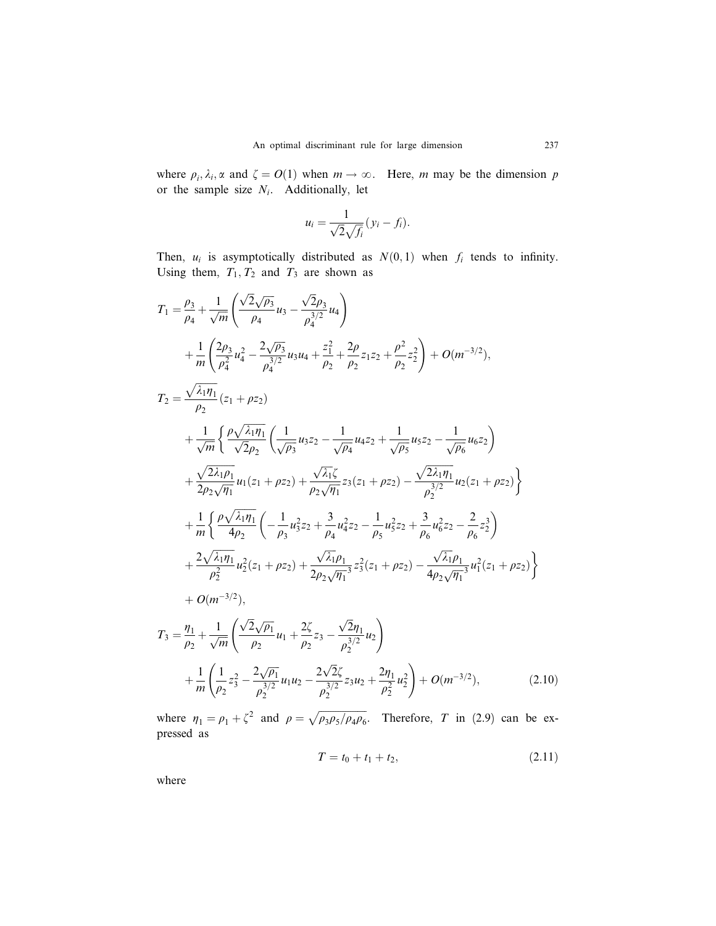where  $\rho_i$ ,  $\lambda_i$ ,  $\alpha$  and  $\zeta = O(1)$  when  $m \to \infty$ . Here, m may be the dimension p or the sample size  $N_i$ . Additionally, let

$$
u_i = \frac{1}{\sqrt{2}\sqrt{f_i}}(y_i - f_i).
$$

Then,  $u_i$  is asymptotically distributed as  $N(0,1)$  when  $f_i$  tends to infinity. Using them,  $T_1, T_2$  and  $T_3$  are shown as

$$
T_{1} = \frac{\rho_{3}}{\rho_{4}} + \frac{1}{\sqrt{m}} \left( \frac{\sqrt{2}\sqrt{\rho_{3}}}{\rho_{4}} u_{3} - \frac{\sqrt{2}\rho_{3}}{\rho_{4}^{3/2}} u_{4} \right)
$$
  
+ 
$$
\frac{1}{m} \left( \frac{2\rho_{3}}{\rho_{4}^{2}} u_{4}^{2} - \frac{2\sqrt{\rho_{3}}}{\rho_{4}^{3/2}} u_{3} u_{4} + \frac{z_{1}^{2}}{\rho_{2}} + \frac{2\rho}{\rho_{2}} z_{1} z_{2} + \frac{\rho^{2}}{\rho_{2}} z_{2}^{2} \right) + O(m^{-3/2}),
$$
  

$$
T_{2} = \frac{\sqrt{\lambda_{1}\eta_{1}}}{\rho_{2}} (z_{1} + \rho z_{2})
$$
  
+ 
$$
\frac{1}{\sqrt{m}} \left\{ \frac{\rho \sqrt{\lambda_{1}\eta_{1}}}{\sqrt{2\rho_{2}}} \left( \frac{1}{\sqrt{\rho_{3}}} u_{3} z_{2} - \frac{1}{\sqrt{\rho_{4}}} u_{4} z_{2} + \frac{1}{\sqrt{\rho_{5}}} u_{5} z_{2} - \frac{1}{\sqrt{\rho_{6}}} u_{6} z_{2} \right)
$$
  
+ 
$$
\frac{\sqrt{2\lambda_{1}\rho_{1}}}{2\rho_{2} \sqrt{\eta_{1}}} u_{1}(z_{1} + \rho z_{2}) + \frac{\sqrt{\lambda_{1}\zeta}}{\rho_{2} \sqrt{\eta_{1}}} z_{3}(z_{1} + \rho z_{2}) - \frac{\sqrt{2\lambda_{1}\eta_{1}}}{\rho_{2}^{3/2}} u_{2}(z_{1} + \rho z_{2}) \right\}
$$
  
+ 
$$
\frac{1}{m} \left\{ \frac{\rho \sqrt{\lambda_{1}\eta_{1}}}{4\rho_{2}} \left( -\frac{1}{\rho_{3}} u_{3}^{2} z_{2} + \frac{3}{\rho_{4}} u_{4}^{2} z_{2} - \frac{1}{\rho_{5}} u_{5}^{2} z_{2} + \frac{3}{\rho_{6}} u_{6}^{2} z_{2} - \frac{2}{\rho_{6}} z_{2}^{3} \right) \right\}
$$
  
+ 
$$
\frac{2\sqrt{\lambda_{1}\eta_{1}}}{\rho_{2}^{2}} u_{2}^{2}(z_{1} + \rho z_{2}) + \
$$

where  $\eta_1 = \rho_1 + \zeta^2$  and  $\rho = \sqrt{\rho_3 \rho_5 / \rho_4 \rho_6}$ . Therefore, T in (2.9) can be expressed as

$$
T = t_0 + t_1 + t_2, \t\t(2.11)
$$

where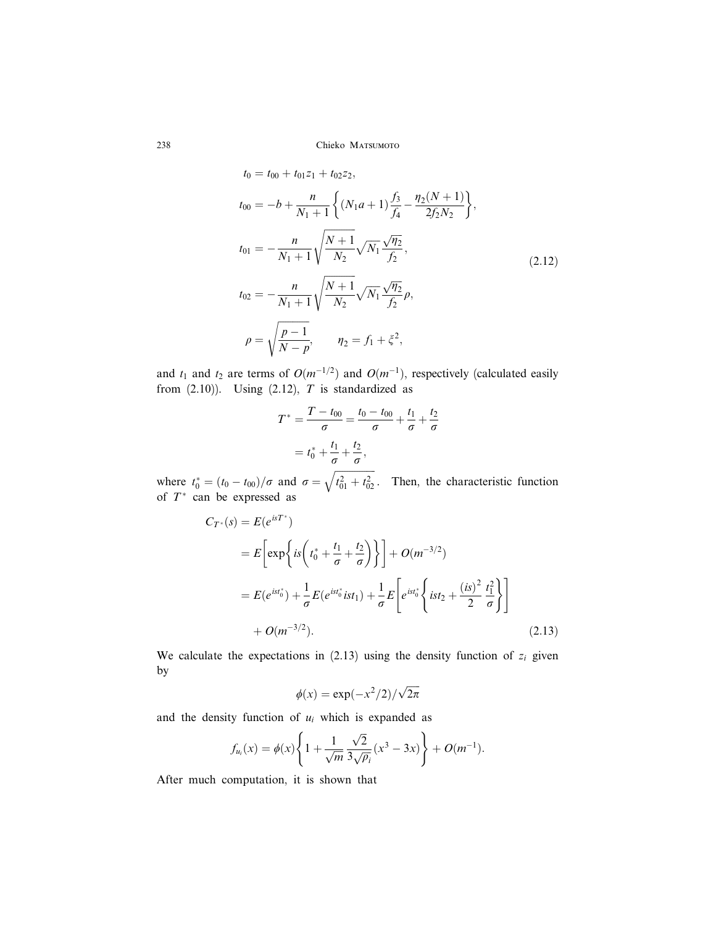$$
t_0 = t_{00} + t_{01}z_1 + t_{02}z_2,
$$
  
\n
$$
t_{00} = -b + \frac{n}{N_1 + 1} \left\{ (N_1a + 1)\frac{f_3}{f_4} - \frac{\eta_2(N+1)}{2f_2N_2} \right\},
$$
  
\n
$$
t_{01} = -\frac{n}{N_1 + 1} \sqrt{\frac{N+1}{N_2}} \sqrt{N_1} \frac{\sqrt{\eta_2}}{f_2},
$$
  
\n
$$
t_{02} = -\frac{n}{N_1 + 1} \sqrt{\frac{N+1}{N_2}} \sqrt{N_1} \frac{\sqrt{\eta_2}}{f_2} \rho,
$$
  
\n
$$
\rho = \sqrt{\frac{p-1}{N-p}}, \qquad \eta_2 = f_1 + \xi^2,
$$
\n(2.12)

and  $t_1$  and  $t_2$  are terms of  $O(m^{-1/2})$  and  $O(m^{-1})$ , respectively (calculated easily from  $(2.10)$ ). Using  $(2.12)$ , T is standardized as

$$
T^* = \frac{T - t_{00}}{\sigma} = \frac{t_0 - t_{00}}{\sigma} + \frac{t_1}{\sigma} + \frac{t_2}{\sigma}
$$

$$
= t_0^* + \frac{t_1}{\sigma} + \frac{t_2}{\sigma},
$$

where  $t_0^* = (t_0 - t_{00})/\sigma$  and  $\sigma =$  $\sqrt{t_{01}^2 + t_{02}^2}$ . Then, the characteristic function of  $T^*$  can be expressed as

$$
C_{T^*}(s) = E(e^{isT^*})
$$
  
=  $E\left[\exp\left\{is\left(t_0^* + \frac{t_1}{\sigma} + \frac{t_2}{\sigma}\right)\right\}\right] + O(m^{-3/2})$   
=  $E(e^{ist_0^*}) + \frac{1}{\sigma}E(e^{ist_0^*}ist_1) + \frac{1}{\sigma}E\left[e^{ist_0^*}\left\{ist_2 + \frac{(is)^2}{2}\frac{t_1^2}{\sigma}\right\}\right]$   
+  $O(m^{-3/2}).$  (2.13)

We calculate the expectations in  $(2.13)$  using the density function of  $z_i$  given by

$$
\phi(x) = \exp(-x^2/2)/\sqrt{2\pi}
$$

and the density function of  $u_i$  which is expanded as

$$
f_{u_i}(x) = \phi(x) \left\{ 1 + \frac{1}{\sqrt{m}} \frac{\sqrt{2}}{3\sqrt{\rho_i}} (x^3 - 3x) \right\} + O(m^{-1}).
$$

After much computation, it is shown that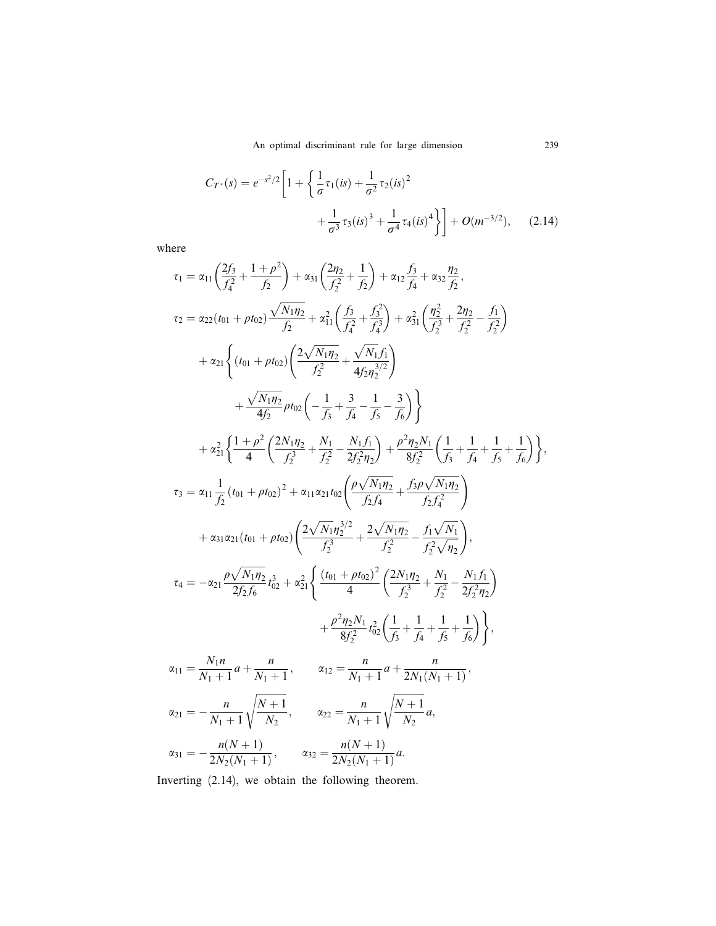$$
C_{T^*}(s) = e^{-s^2/2} \left[ 1 + \left\{ \frac{1}{\sigma} \tau_1(is) + \frac{1}{\sigma^2} \tau_2(is)^2 + \frac{1}{\sigma^3} \tau_3(is)^3 + \frac{1}{\sigma^4} \tau_4(is)^4 \right\} \right] + O(m^{-3/2}), \quad (2.14)
$$

where

$$
\tau_{1} = \alpha_{11} \left( \frac{2f_{3}}{f_{4}^{2}} + \frac{1+\rho^{2}}{f_{2}} \right) + \alpha_{31} \left( \frac{2\eta_{2}}{f_{2}^{2}} + \frac{1}{f_{2}} \right) + \alpha_{12} \frac{f_{3}}{f_{4}} + \alpha_{32} \frac{\eta_{2}}{f_{2}},
$$
\n
$$
\tau_{2} = \alpha_{22} (t_{01} + \rho t_{02}) \frac{\sqrt{N_{1}\eta_{2}}}{f_{2}} + \alpha_{11}^{2} \left( \frac{f_{3}}{f_{4}^{2}} + \frac{f_{3}^{2}}{f_{4}^{2}} \right) + \alpha_{31}^{2} \left( \frac{\eta_{2}^{2}}{f_{2}^{2}} + \frac{2\eta_{2}}{f_{2}^{2}} - \frac{f_{1}}{f_{2}^{2}} \right)
$$
\n
$$
+ \alpha_{21} \left\{ (t_{01} + \rho t_{02}) \left( \frac{2\sqrt{N_{1}\eta_{2}}}{f_{2}^{2}} + \frac{\sqrt{N_{1}f_{1}}}{4f_{2}\eta_{2}^{3/2}} \right) + \frac{\sqrt{N_{1}\eta_{2}}}{4f_{2}} \rho t_{02} \left( -\frac{1}{f_{3}} + \frac{3}{f_{4}} - \frac{1}{f_{5}} - \frac{3}{f_{6}} \right) \right\}
$$
\n
$$
+ \alpha_{21}^{2} \left\{ \frac{1+\rho^{2}}{4} \left( \frac{2N_{1}\eta_{2}}{f_{2}^{3}} + \frac{N_{1}}{f_{2}^{2}} - \frac{N_{1}f_{1}}{2f_{2}\eta_{2}} \right) + \frac{\rho^{2}\eta_{2}N_{1}}{8f_{2}^{2}} \left( \frac{1}{f_{3}} + \frac{1}{f_{4}} + \frac{1}{f_{5}} + \frac{1}{f_{6}} \right) \right\},
$$
\n
$$
\tau_{3} = \alpha_{11} \frac{1}{f_{2}} (t_{01} + \rho t_{02})^{2} + \alpha_{11} \alpha_{21} t_{02} \left( \frac{\rho\sqrt{N_{1}\eta_{2}}}{f_{2}\eta_{4}} + \frac{f_{3}\rho\sqrt{N_{1}\eta_{2}}}{f_{2}\eta_{4
$$

Inverting (2.14), we obtain the following theorem.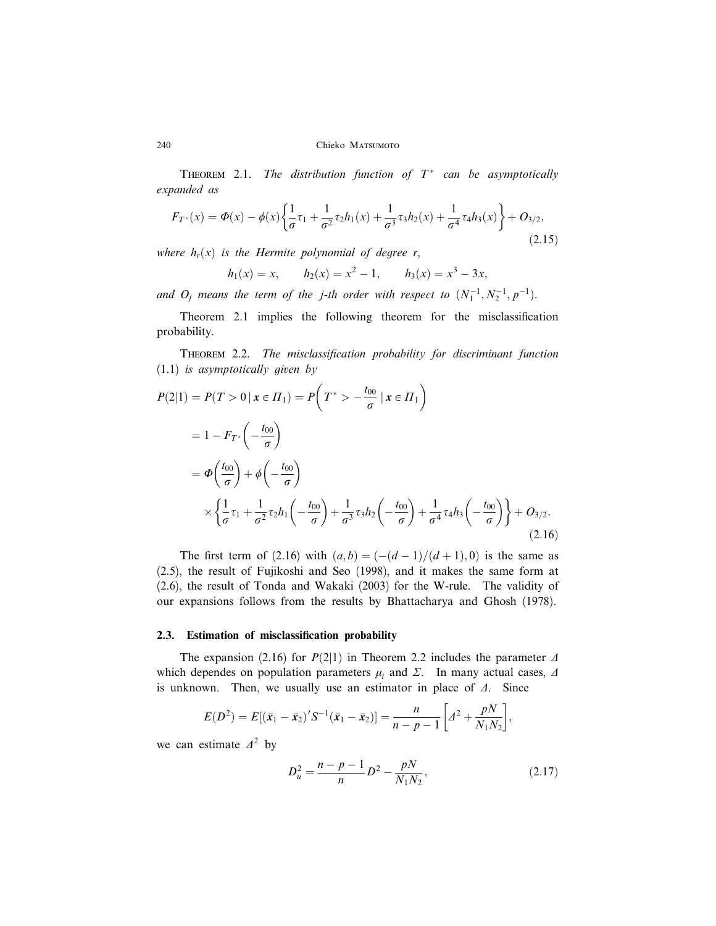THEOREM 2.1. The distribution function of  $T^*$  can be asymptotically expanded as

$$
F_{T^*}(x) = \Phi(x) - \phi(x) \left\{ \frac{1}{\sigma} \tau_1 + \frac{1}{\sigma^2} \tau_2 h_1(x) + \frac{1}{\sigma^3} \tau_3 h_2(x) + \frac{1}{\sigma^4} \tau_4 h_3(x) \right\} + O_{3/2},\tag{2.15}
$$

where  $h_r(x)$  is the Hermite polynomial of degree r,

$$
h_1(x) = x
$$
,  $h_2(x) = x^2 - 1$ ,  $h_3(x) = x^3 - 3x$ ,

and  $O_j$  means the term of the j-th order with respect to  $(N_1^{-1}, N_2^{-1}, p^{-1})$ .

Theorem 2.1 implies the following theorem for the misclassification probability.

Theorem 2.2. The misclassification probability for discriminant function (1.1) is asymptotically given by

$$
P(2|1) = P(T > 0 | \mathbf{x} \in \Pi_1) = P\left(T^* > -\frac{t_{00}}{\sigma} | \mathbf{x} \in \Pi_1\right)
$$
  
=  $1 - F_{T^*}\left(-\frac{t_{00}}{\sigma}\right)$   
=  $\Phi\left(\frac{t_{00}}{\sigma}\right) + \phi\left(-\frac{t_{00}}{\sigma}\right)$   
 $\times \left\{\frac{1}{\sigma}\tau_1 + \frac{1}{\sigma^2}\tau_2 h_1\left(-\frac{t_{00}}{\sigma}\right) + \frac{1}{\sigma^3}\tau_3 h_2\left(-\frac{t_{00}}{\sigma}\right) + \frac{1}{\sigma^4}\tau_4 h_3\left(-\frac{t_{00}}{\sigma}\right)\right\} + O_{3/2}.$  (2.16)

The first term of (2.16) with  $(a, b) = \frac{(-d - 1)}{d + 1}$ ; 0) is the same as (2.5), the result of Fujikoshi and Seo (1998), and it makes the same form at (2.6), the result of Tonda and Wakaki (2003) for the W-rule. The validity of our expansions follows from the results by Bhattacharya and Ghosh (1978).

### 2.3. Estimation of misclassification probability

The expansion (2.16) for  $P(2|1)$  in Theorem 2.2 includes the parameter  $\Delta$ which dependes on population parameters  $\mu_i$  and  $\Sigma$ . In many actual cases,  $\Delta$ is unknown. Then, we usually use an estimator in place of  $\Delta$ . Since

$$
E(D^{2}) = E[(\bar{x}_{1} - \bar{x}_{2})'S^{-1}(\bar{x}_{1} - \bar{x}_{2})] = \frac{n}{n-p-1}\bigg[d^{2} + \frac{pN}{N_{1}N_{2}}\bigg],
$$

we can estimate  $\Delta^2$  by

$$
D_u^2 = \frac{n - p - 1}{n} D^2 - \frac{pN}{N_1 N_2},\tag{2.17}
$$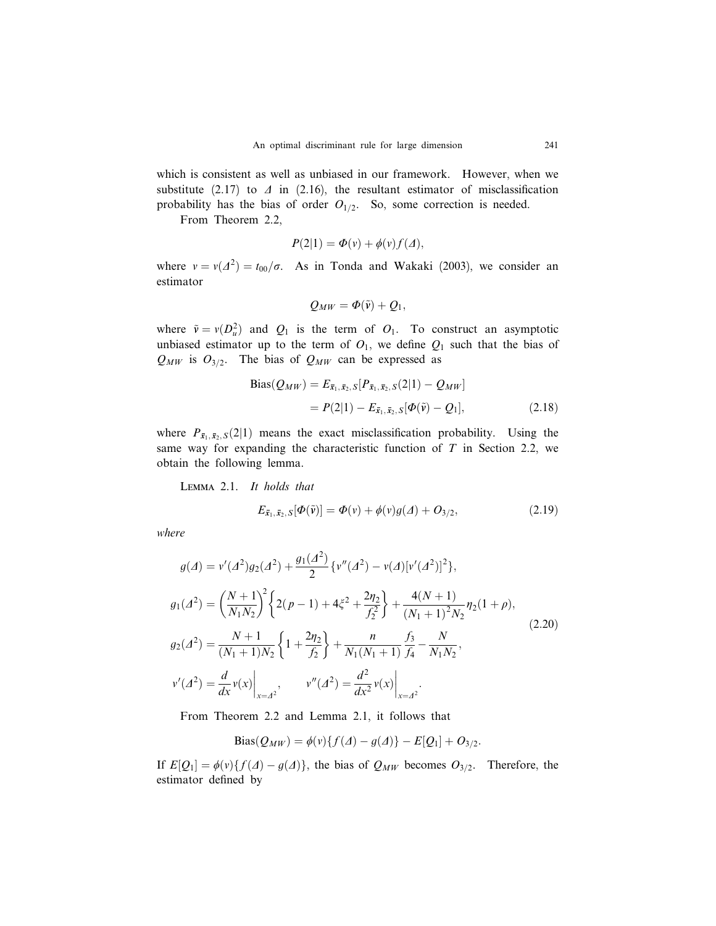which is consistent as well as unbiased in our framework. However, when we substitute (2.17) to  $\Delta$  in (2.16), the resultant estimator of misclassification probability has the bias of order  $O_{1/2}$ . So, some correction is needed.

From Theorem 2.2,

$$
P(2|1) = \Phi(v) + \phi(v)f(\varDelta),
$$

where  $v = v(\Delta^2) = t_{00}/\sigma$ . As in Tonda and Wakaki (2003), we consider an estimator

$$
Q_{MW} = \Phi(\tilde{v}) + Q_1,
$$

where  $\tilde{v} = v(D_u^2)$  and  $Q_1$  is the term of  $O_1$ . To construct an asymptotic unbiased estimator up to the term of  $O_1$ , we define  $Q_1$  such that the bias of  $Q_{MW}$  is  $O_{3/2}$ . The bias of  $Q_{MW}$  can be expressed as

Bias(
$$
Q_{MW}
$$
) =  $E_{\bar{x}_1, \bar{x}_2, S}[P_{\bar{x}_1, \bar{x}_2, S}(2|1) - Q_{MW}]$   
=  $P(2|1) - E_{\bar{x}_1, \bar{x}_2, S}[\Phi(\tilde{v}) - Q_1],$  (2.18)

where  $P_{\overline{x}_1, \overline{x}_2, S}(2|1)$  means the exact misclassification probability. Using the same way for expanding the characteristic function of  $T$  in Section 2.2, we obtain the following lemma.

Lemma 2.1. It holds that

$$
E_{\bar{x}_1, \bar{x}_2, S}[\Phi(\tilde{v})] = \Phi(v) + \phi(v)g(\Delta) + O_{3/2}, \qquad (2.19)
$$

where

$$
g(A) = v'(A^2)g_2(A^2) + \frac{g_1(A^2)}{2} \{v''(A^2) - v(A)[v'(A^2)]^2\},
$$
  
\n
$$
g_1(A^2) = \left(\frac{N+1}{N_1N_2}\right)^2 \{2(p-1) + 4\xi^2 + \frac{2\eta_2}{f_2^2}\} + \frac{4(N+1)}{(N_1+1)^2N_2}\eta_2(1+\rho),
$$
  
\n
$$
g_2(A^2) = \frac{N+1}{(N_1+1)N_2} \{1 + \frac{2\eta_2}{f_2}\} + \frac{n}{N_1(N_1+1)}\frac{f_3}{f_4} - \frac{N}{N_1N_2},
$$
  
\n
$$
v'(A^2) = \frac{d}{dx}v(x)\Big|_{x=A^2}, \qquad v''(A^2) = \frac{d^2}{dx^2}v(x)\Big|_{x=A^2}.
$$
\n(2.20)

From Theorem 2.2 and Lemma 2.1, it follows that

Bias(
$$
Q_{MW}
$$
) =  $\phi$ ( $v$ ){ $\{f(\Delta) - g(\Delta)\} - E[Q_1] + O_{3/2}$ .

If  $E[Q_1] = \phi(v)\{f(\Delta) - g(\Delta)\}\$ , the bias of  $Q_{MW}$  becomes  $O_{3/2}$ . Therefore, the estimator defined by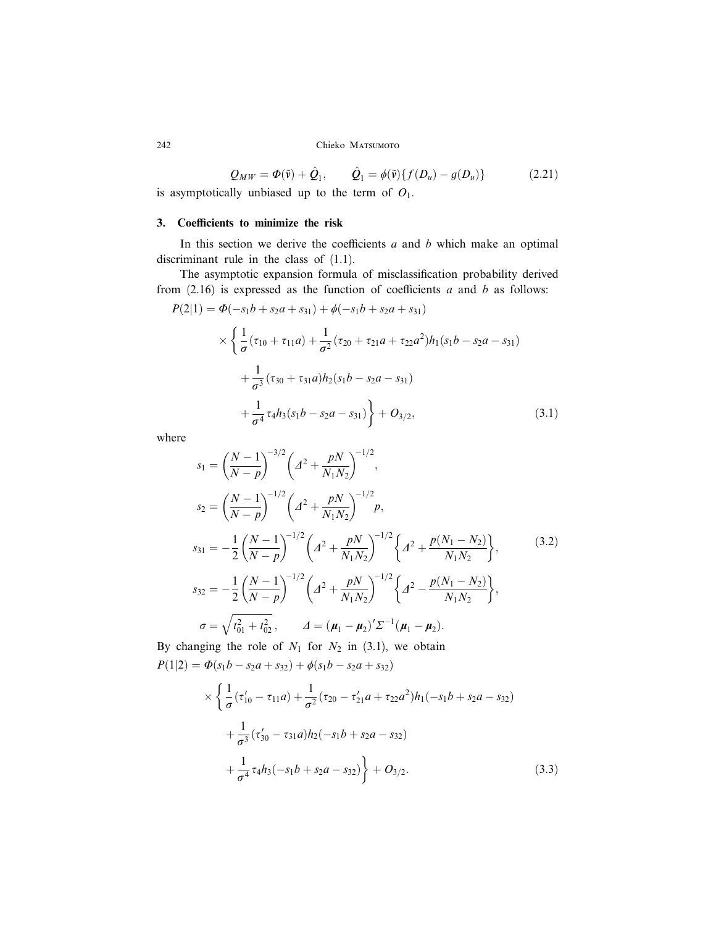$$
Q_{MW} = \Phi(\tilde{v}) + \hat{Q}_1, \qquad \hat{Q}_1 = \phi(\tilde{v}) \{ f(D_u) - g(D_u) \}
$$
 (2.21)

is asymptotically unbiased up to the term of  $O_1$ .

# 3. Coefficients to minimize the risk

In this section we derive the coefficients  $a$  and  $b$  which make an optimal discriminant rule in the class of (1.1).

The asymptotic expansion formula of misclassification probability derived from  $(2.16)$  is expressed as the function of coefficients a and b as follows:

$$
P(2|1) = \Phi(-s_1b + s_2a + s_{31}) + \phi(-s_1b + s_2a + s_{31})
$$
  
\$\times \left\{ \frac{1}{\sigma} (\tau\_{10} + \tau\_{11}a) + \frac{1}{\sigma^2} (\tau\_{20} + \tau\_{21}a + \tau\_{22}a^2) h\_1(s\_1b - s\_2a - s\_{31}) \right\}\$  
\$+ \frac{1}{\sigma^3} (\tau\_{30} + \tau\_{31}a) h\_2(s\_1b - s\_2a - s\_{31})\$  
\$+ \frac{1}{\sigma^4} \tau\_4 h\_3(s\_1b - s\_2a - s\_{31}) \right\} + O\_{3/2}, \qquad (3.1)

where

$$
s_1 = \left(\frac{N-1}{N-p}\right)^{-3/2} \left(A^2 + \frac{pN}{N_1N_2}\right)^{-1/2},
$$
  
\n
$$
s_2 = \left(\frac{N-1}{N-p}\right)^{-1/2} \left(A^2 + \frac{pN}{N_1N_2}\right)^{-1/2} p,
$$
  
\n
$$
s_{31} = -\frac{1}{2} \left(\frac{N-1}{N-p}\right)^{-1/2} \left(A^2 + \frac{pN}{N_1N_2}\right)^{-1/2} \left\{A^2 + \frac{p(N_1 - N_2)}{N_1N_2}\right\},
$$
  
\n
$$
s_{32} = -\frac{1}{2} \left(\frac{N-1}{N-p}\right)^{-1/2} \left(A^2 + \frac{pN}{N_1N_2}\right)^{-1/2} \left\{A^2 - \frac{p(N_1 - N_2)}{N_1N_2}\right\},
$$
  
\n
$$
\sigma = \sqrt{t_{01}^2 + t_{02}^2},
$$
  
\n
$$
A = (\mu_1 - \mu_2)' \Sigma^{-1} (\mu_1 - \mu_2).
$$
  
\n(3.2)

By changing the role of  $N_1$  for  $N_2$  in (3.1), we obtain  $P(1|2) = \Phi(s_1b - s_2a + s_3a) + \phi(s_1b - s_2a + s_3a)$ 

$$
\times \left\{ \frac{1}{\sigma} (\tau'_{10} - \tau_{11}a) + \frac{1}{\sigma^2} (\tau_{20} - \tau'_{21}a + \tau_{22}a^2) h_1(-s_1b + s_2a - s_{32})
$$
  
+ 
$$
\frac{1}{\sigma^3} (\tau'_{30} - \tau_{31}a) h_2(-s_1b + s_2a - s_{32})
$$
  
+ 
$$
\frac{1}{\sigma^4} \tau_4 h_3(-s_1b + s_2a - s_{32}) + O_{3/2}.
$$
 (3.3)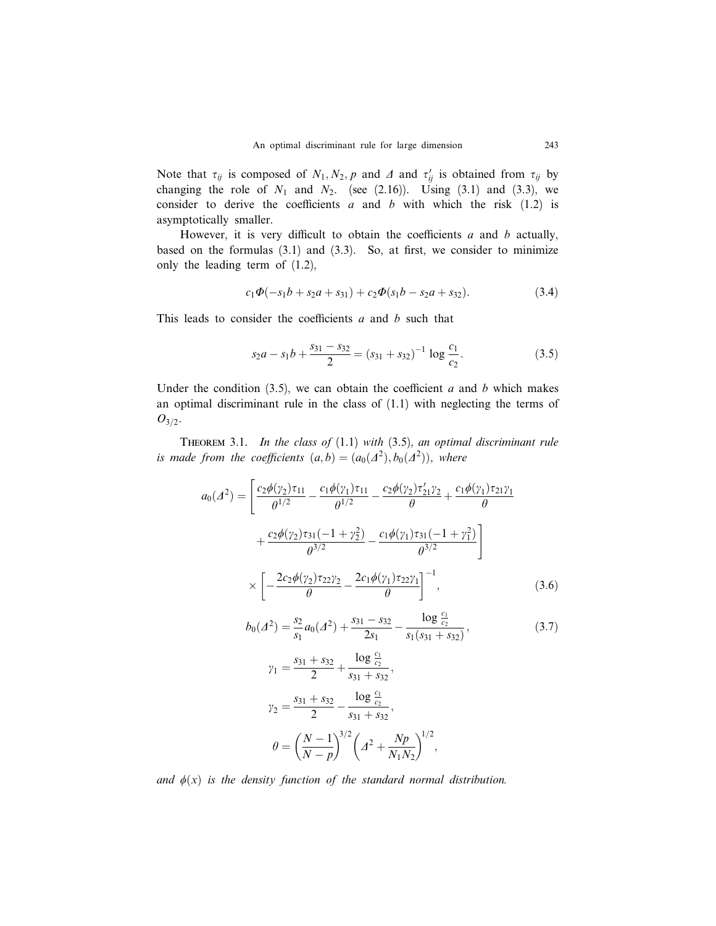Note that  $\tau_{ij}$  is composed of  $N_1, N_2, p$  and  $\Lambda$  and  $\tau'_{ij}$  is obtained from  $\tau_{ij}$  by changing the role of  $N_1$  and  $N_2$ . (see (2.16)). Using (3.1) and (3.3), we consider to derive the coefficients  $a$  and  $b$  with which the risk (1.2) is asymptotically smaller.

However, it is very difficult to obtain the coefficients  $a$  and  $b$  actually, based on the formulas  $(3.1)$  and  $(3.3)$ . So, at first, we consider to minimize only the leading term of (1.2),

$$
c_1\Phi(-s_1b + s_2a + s_3) + c_2\Phi(s_1b - s_2a + s_3).
$$
 (3.4)

This leads to consider the coefficients  $a$  and  $b$  such that

 $a_0$ 

$$
s_2a - s_1b + \frac{s_{31} - s_{32}}{2} = (s_{31} + s_{32})^{-1} \log \frac{c_1}{c_2}.
$$
 (3.5)

Under the condition  $(3.5)$ , we can obtain the coefficient a and b which makes an optimal discriminant rule in the class of (1.1) with neglecting the terms of  $O_{3/2}.$ 

THEOREM 3.1. In the class of  $(1.1)$  with  $(3.5)$ , an optimal discriminant rule is made from the coefficients  $(a,b) = (a_0(\Lambda^2), b_0(\Lambda^2))$ , where

$$
(A^{2}) = \left[ \frac{c_{2}\phi(\gamma_{2})\tau_{11}}{\theta^{1/2}} - \frac{c_{1}\phi(\gamma_{1})\tau_{11}}{\theta^{1/2}} - \frac{c_{2}\phi(\gamma_{2})\tau_{21}'\gamma_{2}}{\theta} + \frac{c_{1}\phi(\gamma_{1})\tau_{21}\gamma_{1}}{\theta} + \frac{c_{2}\phi(\gamma_{2})\tau_{31}(-1+\gamma_{2}^{2})}{\theta^{3/2}} - \frac{c_{1}\phi(\gamma_{1})\tau_{31}(-1+\gamma_{1}^{2})}{\theta^{3/2}} \right] \times \left[ -\frac{2c_{2}\phi(\gamma_{2})\tau_{22}\gamma_{2}}{\theta} - \frac{2c_{1}\phi(\gamma_{1})\tau_{22}\gamma_{1}}{\theta} \right]^{-1}, \qquad (3.6)
$$
  
\n
$$
b_{0}(A^{2}) = \frac{s_{2}}{s_{1}}a_{0}(A^{2}) + \frac{s_{31} - s_{32}}{2s_{1}} - \frac{\log \frac{c_{1}}{c_{2}}}{s_{1}(s_{31} + s_{32})}, \qquad (3.7)
$$
  
\n
$$
\gamma_{1} = \frac{s_{31} + s_{32}}{2} + \frac{\log \frac{c_{1}}{c_{2}}}{s_{31} + s_{32}}, \qquad \gamma_{2} = \frac{s_{31} + s_{32}}{2} - \frac{\log \frac{c_{1}}{c_{2}}}{s_{31} + s_{32}}, \qquad \theta = \left( \frac{N - 1}{N - p} \right)^{3/2} \left( A^{2} + \frac{Np}{N_{1}N_{2}} \right)^{1/2},
$$

and  $\phi(x)$  is the density function of the standard normal distribution.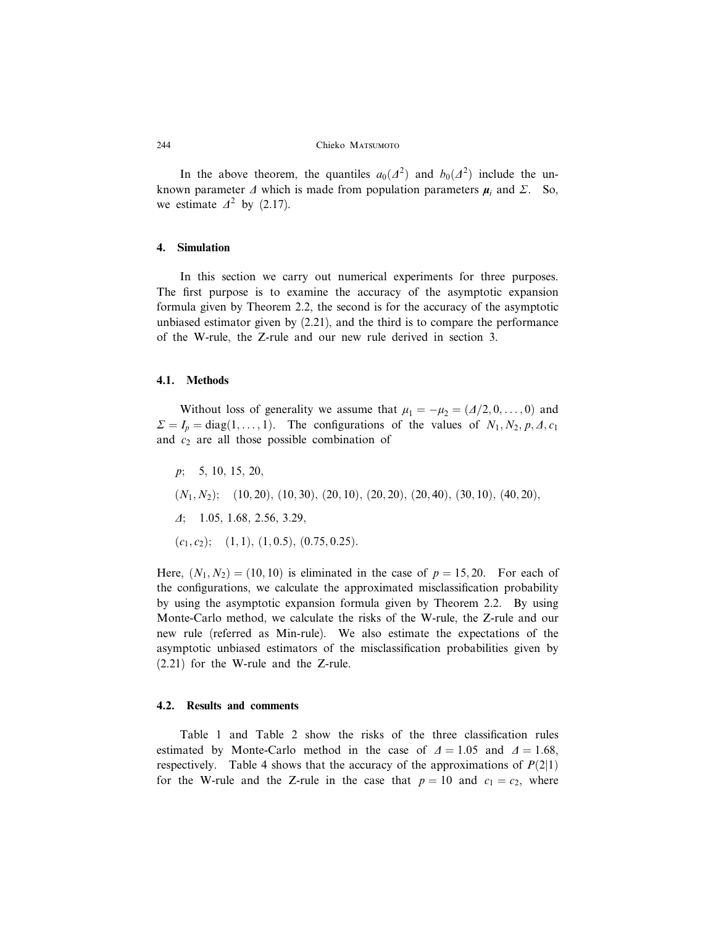In the above theorem, the quantiles  $a_0(\Lambda^2)$  and  $b_0(\Lambda^2)$  include the unknown parameter  $\Delta$  which is made from population parameters  $\mu_i$  and  $\Sigma$ . So, we estimate  $\Delta^2$  by (2.17).

# 4. Simulation

In this section we carry out numerical experiments for three purposes. The first purpose is to examine the accuracy of the asymptotic expansion formula given by Theorem 2.2, the second is for the accuracy of the asymptotic unbiased estimator given by (2.21), and the third is to compare the performance of the W-rule, the Z-rule and our new rule derived in section 3.

# 4.1. Methods

Without loss of generality we assume that  $\mu_1 = -\mu_2 = (A/2, 0, \dots, 0)$  and  $\Sigma = I_p = \text{diag}(1, \ldots, 1)$ . The configurations of the values of  $N_1, N_2, p, \Delta, c_1$ and  $c_2$  are all those possible combination of

- $p$ ; 5, 10, 15, 20,
- $(N_1, N_2)$ ;  $(10, 20), (10, 30), (20, 10), (20, 20), (20, 40), (30, 10), (40, 20),$
- $\Delta$ ; 1.05, 1.68, 2.56, 3.29,
- $(c_1, c_2);$   $(1, 1), (1, 0.5), (0.75, 0.25).$

Here,  $(N_1, N_2) = (10, 10)$  is eliminated in the case of  $p = 15, 20$ . For each of the configurations, we calculate the approximated misclassification probability by using the asymptotic expansion formula given by Theorem 2.2. By using Monte-Carlo method, we calculate the risks of the W-rule, the Z-rule and our new rule (referred as Min-rule). We also estimate the expectations of the asymptotic unbiased estimators of the misclassification probabilities given by (2.21) for the W-rule and the Z-rule.

## 4.2. Results and comments

Table 1 and Table 2 show the risks of the three classification rules estimated by Monte-Carlo method in the case of  $\Delta = 1.05$  and  $\Delta = 1.68$ , respectively. Table 4 shows that the accuracy of the approximations of  $P(2|1)$ for the W-rule and the Z-rule in the case that  $p = 10$  and  $c_1 = c_2$ , where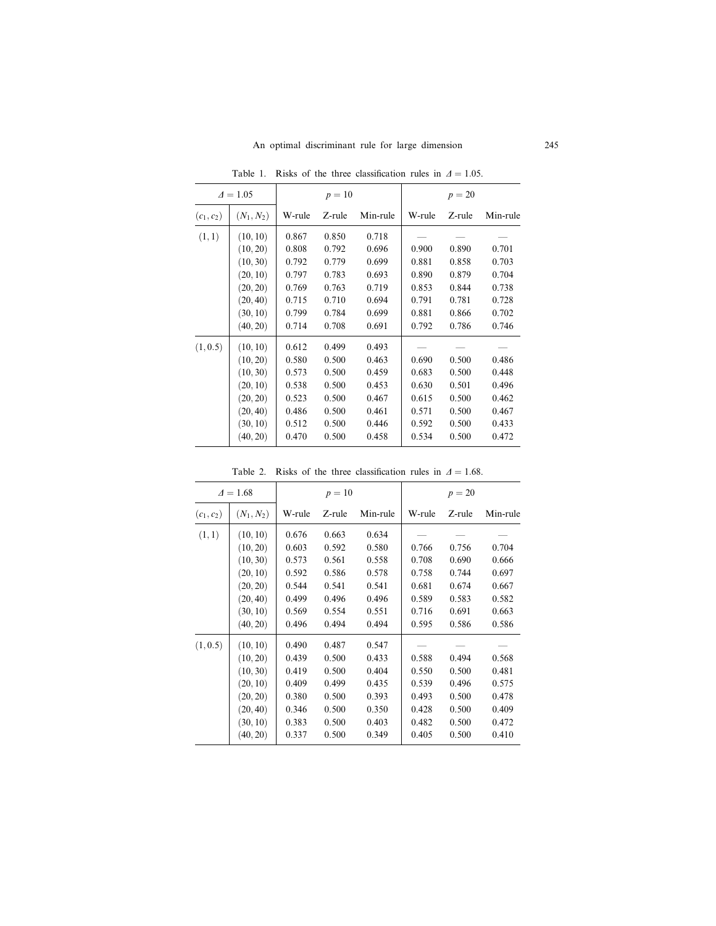| $\Delta = 1.05$ |              |        | $p=10$ |          | $p = 20$ |        |          |  |
|-----------------|--------------|--------|--------|----------|----------|--------|----------|--|
| $(c_1, c_2)$    | $(N_1, N_2)$ | W-rule | Z-rule | Min-rule | W-rule   | Z-rule | Min-rule |  |
| (1,1)           | (10, 10)     | 0.867  | 0.850  | 0.718    |          |        |          |  |
|                 | (10, 20)     | 0.808  | 0.792  | 0.696    | 0.900    | 0.890  | 0.701    |  |
|                 | (10, 30)     | 0.792  | 0.779  | 0.699    | 0.881    | 0.858  | 0.703    |  |
|                 | (20, 10)     | 0.797  | 0.783  | 0.693    | 0.890    | 0.879  | 0.704    |  |
|                 | (20, 20)     | 0.769  | 0.763  | 0.719    | 0.853    | 0.844  | 0.738    |  |
|                 | (20, 40)     | 0.715  | 0.710  | 0.694    | 0.791    | 0.781  | 0.728    |  |
|                 | (30, 10)     | 0.799  | 0.784  | 0.699    | 0.881    | 0.866  | 0.702    |  |
|                 | (40, 20)     | 0.714  | 0.708  | 0.691    | 0.792    | 0.786  | 0.746    |  |
| (1, 0.5)        | (10, 10)     | 0.612  | 0.499  | 0.493    |          |        |          |  |
|                 | (10, 20)     | 0.580  | 0.500  | 0.463    | 0.690    | 0.500  | 0.486    |  |
|                 | (10, 30)     | 0.573  | 0.500  | 0.459    | 0.683    | 0.500  | 0.448    |  |
|                 | (20, 10)     | 0.538  | 0.500  | 0.453    | 0.630    | 0.501  | 0.496    |  |
|                 | (20, 20)     | 0.523  | 0.500  | 0.467    | 0.615    | 0.500  | 0.462    |  |
|                 | (20, 40)     | 0.486  | 0.500  | 0.461    | 0.571    | 0.500  | 0.467    |  |
|                 | (30, 10)     | 0.512  | 0.500  | 0.446    | 0.592    | 0.500  | 0.433    |  |
|                 | (40, 20)     | 0.470  | 0.500  | 0.458    | 0.534    | 0.500  | 0.472    |  |

Table 1. Risks of the three classification rules in  $\Delta = 1.05$ .

| $\Delta = 1.68$ |                                                                                                          |                                                                               | $p = 10$                                                                      |                                                                               | $p = 20$                                                             |                                                                      |                                                                      |  |
|-----------------|----------------------------------------------------------------------------------------------------------|-------------------------------------------------------------------------------|-------------------------------------------------------------------------------|-------------------------------------------------------------------------------|----------------------------------------------------------------------|----------------------------------------------------------------------|----------------------------------------------------------------------|--|
| $(c_1, c_2)$    | $(N_1, N_2)$                                                                                             | W-rule                                                                        | Z-rule                                                                        | Min-rule                                                                      | W-rule                                                               | Z-rule                                                               | Min-rule                                                             |  |
| (1,1)           | (10, 10)<br>(10, 20)<br>(10, 30)<br>(20, 10)<br>(20, 20)<br>(20, 40)<br>(30, 10)                         | 0.676<br>0.603<br>0.573<br>0.592<br>0.544<br>0.499<br>0.569                   | 0.663<br>0.592<br>0.561<br>0.586<br>0.541<br>0.496<br>0.554                   | 0.634<br>0.580<br>0.558<br>0.578<br>0.541<br>0.496<br>0.551                   | 0.766<br>0.708<br>0.758<br>0.681<br>0.589<br>0.716                   | 0.756<br>0.690<br>0.744<br>0.674<br>0.583<br>0.691                   | 0.704<br>0.666<br>0.697<br>0.667<br>0.582<br>0.663                   |  |
| (1, 0.5)        | (40, 20)<br>(10, 10)<br>(10, 20)<br>(10, 30)<br>(20, 10)<br>(20, 20)<br>(20, 40)<br>(30, 10)<br>(40, 20) | 0.496<br>0.490<br>0.439<br>0.419<br>0.409<br>0.380<br>0.346<br>0.383<br>0.337 | 0.494<br>0.487<br>0.500<br>0.500<br>0.499<br>0.500<br>0.500<br>0.500<br>0.500 | 0.494<br>0.547<br>0.433<br>0.404<br>0.435<br>0.393<br>0.350<br>0.403<br>0.349 | 0.595<br>0.588<br>0.550<br>0.539<br>0.493<br>0.428<br>0.482<br>0.405 | 0.586<br>0.494<br>0.500<br>0.496<br>0.500<br>0.500<br>0.500<br>0.500 | 0.586<br>0.568<br>0.481<br>0.575<br>0.478<br>0.409<br>0.472<br>0.410 |  |

Table 2. Risks of the three classification rules in  $\Delta = 1.68$ .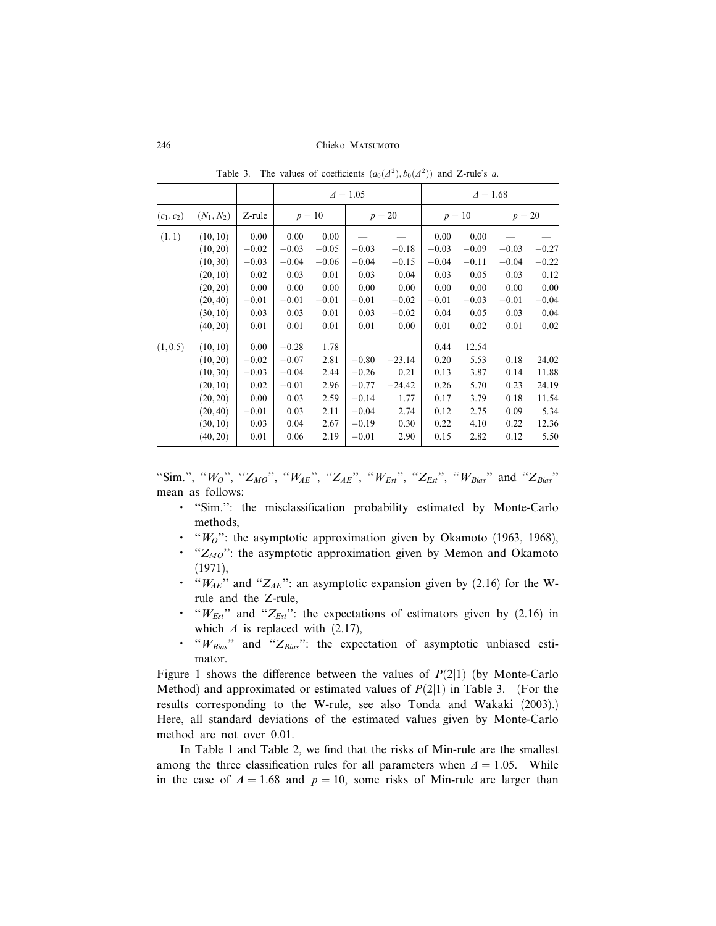|              |              |         |          |         | $\Delta = 1.05$ |          | $\Delta = 1.68$ |         |          |         |  |
|--------------|--------------|---------|----------|---------|-----------------|----------|-----------------|---------|----------|---------|--|
| $(c_1, c_2)$ | $(N_1, N_2)$ | Z-rule  | $p = 10$ |         | $p = 20$        |          | $p = 10$        |         | $p = 20$ |         |  |
| (1, 1)       | (10, 10)     | 0.00    | 0.00     | 0.00    |                 |          | 0.00            | 0.00    |          |         |  |
|              | (10, 20)     | $-0.02$ | $-0.03$  | $-0.05$ | $-0.03$         | $-0.18$  | $-0.03$         | $-0.09$ | $-0.03$  | $-0.27$ |  |
|              | (10, 30)     | $-0.03$ | $-0.04$  | $-0.06$ | $-0.04$         | $-0.15$  | $-0.04$         | $-0.11$ | $-0.04$  | $-0.22$ |  |
|              | (20, 10)     | 0.02    | 0.03     | 0.01    | 0.03            | 0.04     | 0.03            | 0.05    | 0.03     | 0.12    |  |
|              | (20, 20)     | 0.00    | 0.00     | 0.00    | 0.00            | 0.00     | 0.00            | 0.00    | 0.00     | 0.00    |  |
|              | (20, 40)     | $-0.01$ | $-0.01$  | $-0.01$ | $-0.01$         | $-0.02$  | $-0.01$         | $-0.03$ | $-0.01$  | $-0.04$ |  |
|              | (30, 10)     | 0.03    | 0.03     | 0.01    | 0.03            | $-0.02$  | 0.04            | 0.05    | 0.03     | 0.04    |  |
|              | (40, 20)     | 0.01    | 0.01     | 0.01    | 0.01            | 0.00     | 0.01            | 0.02    | 0.01     | 0.02    |  |
| (1, 0.5)     | (10, 10)     | 0.00    | $-0.28$  | 1.78    |                 |          | 0.44            | 12.54   |          |         |  |
|              | (10, 20)     | $-0.02$ | $-0.07$  | 2.81    | $-0.80$         | $-23.14$ | 0.20            | 5.53    | 0.18     | 24.02   |  |
|              | (10, 30)     | $-0.03$ | $-0.04$  | 2.44    | $-0.26$         | 0.21     | 0.13            | 3.87    | 0.14     | 11.88   |  |
|              | (20, 10)     | 0.02    | $-0.01$  | 2.96    | $-0.77$         | $-24.42$ | 0.26            | 5.70    | 0.23     | 24.19   |  |
|              | (20, 20)     | 0.00    | 0.03     | 2.59    | $-0.14$         | 1.77     | 0.17            | 3.79    | 0.18     | 11.54   |  |
|              | (20, 40)     | $-0.01$ | 0.03     | 2.11    | $-0.04$         | 2.74     | 0.12            | 2.75    | 0.09     | 5.34    |  |
|              | (30, 10)     | 0.03    | 0.04     | 2.67    | $-0.19$         | 0.30     | 0.22            | 4.10    | 0.22     | 12.36   |  |
|              | (40, 20)     | 0.01    | 0.06     | 2.19    | $-0.01$         | 2.90     | 0.15            | 2.82    | 0.12     | 5.50    |  |

Table 3. The values of coefficients  $(a_0(\Delta^2), b_0(\Delta^2))$  and Z-rule's a.

"Sim.", " $W_O$ ", " $Z_{MO}$ ", " $W_{AE}$ ", " $Z_{AE}$ ", " $W_{Est}$ ", " $Z_{Est}$ ", " $W_{Bias}$ " and " $Z_{Bias}$ " mean as follows:

- ''Sim.'': the misclassification probability estimated by Monte-Carlo methods,
- $\cdot$  " $W_O$ ": the asymptotic approximation given by Okamoto (1963, 1968),
- $\cdot$  "Z<sub>MO</sub>": the asymptotic approximation given by Memon and Okamoto (1971),
- $\cdot$  " $W_{AE}$ " and " $Z_{AE}$ ": an asymptotic expansion given by (2.16) for the Wrule and the Z-rule,
- $\cdot$  " $W_{Est}$ " and " $Z_{Est}$ ": the expectations of estimators given by (2.16) in which  $\Delta$  is replaced with (2.17),
- $\cdot$  " $W_{Bias}$ " and " $Z_{Bias}$ ": the expectation of asymptotic unbiased estimator.

Figure 1 shows the difference between the values of  $P(2|1)$  (by Monte-Carlo Method) and approximated or estimated values of  $P(2|1)$  in Table 3. (For the results corresponding to the W-rule, see also Tonda and Wakaki (2003).) Here, all standard deviations of the estimated values given by Monte-Carlo method are not over 0.01.

In Table 1 and Table 2, we find that the risks of Min-rule are the smallest among the three classification rules for all parameters when  $\Delta = 1.05$ . While in the case of  $\Delta = 1.68$  and  $p = 10$ , some risks of Min-rule are larger than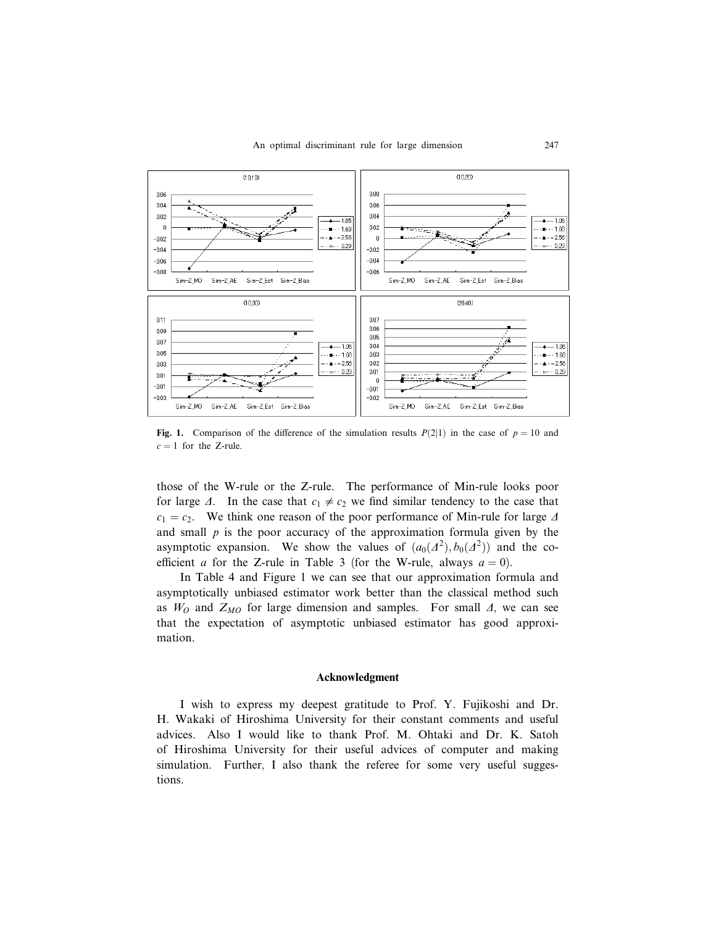

Fig. 1. Comparison of the difference of the simulation results  $P(2|1)$  in the case of  $p = 10$  and  $c = 1$  for the Z-rule.

those of the W-rule or the Z-rule. The performance of Min-rule looks poor for large  $\Delta$ . In the case that  $c_1 \neq c_2$  we find similar tendency to the case that  $c_1 = c_2$ . We think one reason of the poor performance of Min-rule for large  $\Delta$ and small  $p$  is the poor accuracy of the approximation formula given by the asymptotic expansion. We show the values of  $(a_0(\Lambda^2), b_0(\Lambda^2))$  and the coefficient a for the Z-rule in Table 3 (for the W-rule, always  $a = 0$ ).

In Table 4 and Figure 1 we can see that our approximation formula and asymptotically unbiased estimator work better than the classical method such as  $W_O$  and  $Z_{MO}$  for large dimension and samples. For small  $\Delta$ , we can see that the expectation of asymptotic unbiased estimator has good approximation.

### Acknowledgment

I wish to express my deepest gratitude to Prof. Y. Fujikoshi and Dr. H. Wakaki of Hiroshima University for their constant comments and useful advices. Also I would like to thank Prof. M. Ohtaki and Dr. K. Satoh of Hiroshima University for their useful advices of computer and making simulation. Further, I also thank the referee for some very useful suggestions.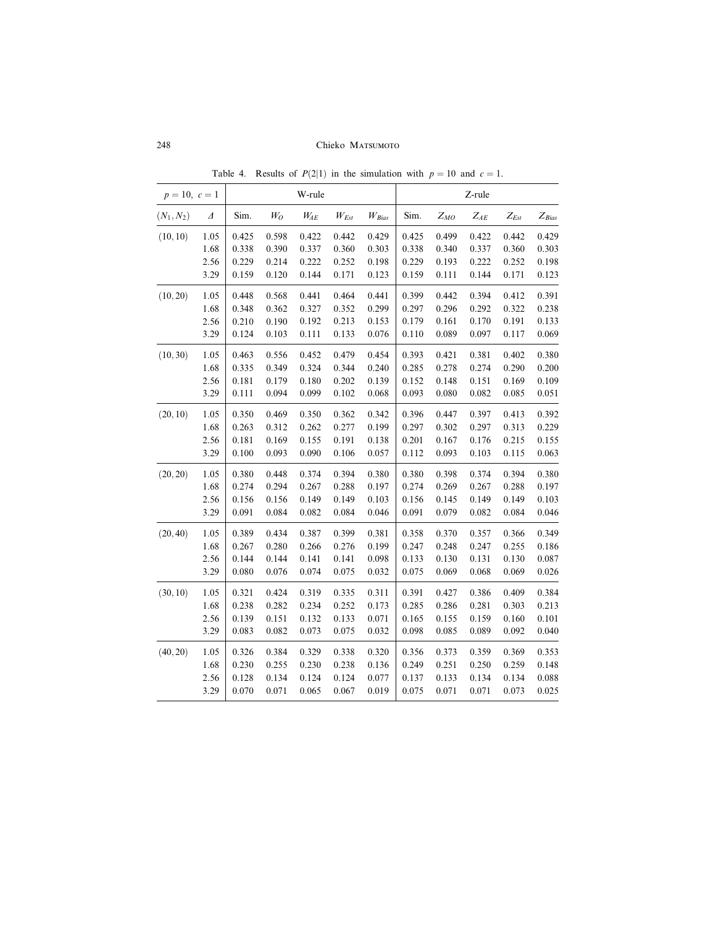| $p = 10, c = 1$ |          |       |       | W-rule     |           | Z-rule     |       |          |                   |                             |            |
|-----------------|----------|-------|-------|------------|-----------|------------|-------|----------|-------------------|-----------------------------|------------|
| $(N_1, N_2)$    | $\Delta$ | Sim.  | $W_O$ | $W_{\!AE}$ | $W_{Est}$ | $W_{Bias}$ | Sim.  | $Z_{MO}$ | $Z_{\mathit{AE}}$ | $\mathbb{Z}_{\mathit{Est}}$ | $Z_{Bias}$ |
| (10, 10)        | 1.05     | 0.425 | 0.598 | 0.422      | 0.442     | 0.429      | 0.425 | 0.499    | 0.422             | 0.442                       | 0.429      |
|                 | 1.68     | 0.338 | 0.390 | 0.337      | 0.360     | 0.303      | 0.338 | 0.340    | 0.337             | 0.360                       | 0.303      |
|                 | 2.56     | 0.229 | 0.214 | 0.222      | 0.252     | 0.198      | 0.229 | 0.193    | 0.222             | 0.252                       | 0.198      |
|                 | 3.29     | 0.159 | 0.120 | 0.144      | 0.171     | 0.123      | 0.159 | 0.111    | 0.144             | 0.171                       | 0.123      |
| (10, 20)        | 1.05     | 0.448 | 0.568 | 0.441      | 0.464     | 0.441      | 0.399 | 0.442    | 0.394             | 0.412                       | 0.391      |
|                 | 1.68     | 0.348 | 0.362 | 0.327      | 0.352     | 0.299      | 0.297 | 0.296    | 0.292             | 0.322                       | 0.238      |
|                 | 2.56     | 0.210 | 0.190 | 0.192      | 0.213     | 0.153      | 0.179 | 0.161    | 0.170             | 0.191                       | 0.133      |
|                 | 3.29     | 0.124 | 0.103 | 0.111      | 0.133     | 0.076      | 0.110 | 0.089    | 0.097             | 0.117                       | 0.069      |
| (10, 30)        | 1.05     | 0.463 | 0.556 | 0.452      | 0.479     | 0.454      | 0.393 | 0.421    | 0.381             | 0.402                       | 0.380      |
|                 | 1.68     | 0.335 | 0.349 | 0.324      | 0.344     | 0.240      | 0.285 | 0.278    | 0.274             | 0.290                       | 0.200      |
|                 | 2.56     | 0.181 | 0.179 | 0.180      | 0.202     | 0.139      | 0.152 | 0.148    | 0.151             | 0.169                       | 0.109      |
|                 | 3.29     | 0.111 | 0.094 | 0.099      | 0.102     | 0.068      | 0.093 | 0.080    | 0.082             | 0.085                       | 0.051      |
| (20, 10)        | 1.05     | 0.350 | 0.469 | 0.350      | 0.362     | 0.342      | 0.396 | 0.447    | 0.397             | 0.413                       | 0.392      |
|                 | 1.68     | 0.263 | 0.312 | 0.262      | 0.277     | 0.199      | 0.297 | 0.302    | 0.297             | 0.313                       | 0.229      |
|                 | 2.56     | 0.181 | 0.169 | 0.155      | 0.191     | 0.138      | 0.201 | 0.167    | 0.176             | 0.215                       | 0.155      |
|                 | 3.29     | 0.100 | 0.093 | 0.090      | 0.106     | 0.057      | 0.112 | 0.093    | 0.103             | 0.115                       | 0.063      |
| (20, 20)        | 1.05     | 0.380 | 0.448 | 0.374      | 0.394     | 0.380      | 0.380 | 0.398    | 0.374             | 0.394                       | 0.380      |
|                 | 1.68     | 0.274 | 0.294 | 0.267      | 0.288     | 0.197      | 0.274 | 0.269    | 0.267             | 0.288                       | 0.197      |
|                 | 2.56     | 0.156 | 0.156 | 0.149      | 0.149     | 0.103      | 0.156 | 0.145    | 0.149             | 0.149                       | 0.103      |
|                 | 3.29     | 0.091 | 0.084 | 0.082      | 0.084     | 0.046      | 0.091 | 0.079    | 0.082             | 0.084                       | 0.046      |
| (20, 40)        | 1.05     | 0.389 | 0.434 | 0.387      | 0.399     | 0.381      | 0.358 | 0.370    | 0.357             | 0.366                       | 0.349      |
|                 | 1.68     | 0.267 | 0.280 | 0.266      | 0.276     | 0.199      | 0.247 | 0.248    | 0.247             | 0.255                       | 0.186      |
|                 | 2.56     | 0.144 | 0.144 | 0.141      | 0.141     | 0.098      | 0.133 | 0.130    | 0.131             | 0.130                       | 0.087      |
|                 | 3.29     | 0.080 | 0.076 | 0.074      | 0.075     | 0.032      | 0.075 | 0.069    | 0.068             | 0.069                       | 0.026      |
| (30, 10)        | 1.05     | 0.321 | 0.424 | 0.319      | 0.335     | 0.311      | 0.391 | 0.427    | 0.386             | 0.409                       | 0.384      |
|                 | 1.68     | 0.238 | 0.282 | 0.234      | 0.252     | 0.173      | 0.285 | 0.286    | 0.281             | 0.303                       | 0.213      |
|                 | 2.56     | 0.139 | 0.151 | 0.132      | 0.133     | 0.071      | 0.165 | 0.155    | 0.159             | 0.160                       | 0.101      |
|                 | 3.29     | 0.083 | 0.082 | 0.073      | 0.075     | 0.032      | 0.098 | 0.085    | 0.089             | 0.092                       | 0.040      |
| (40, 20)        | 1.05     | 0.326 | 0.384 | 0.329      | 0.338     | 0.320      | 0.356 | 0.373    | 0.359             | 0.369                       | 0.353      |
|                 | 1.68     | 0.230 | 0.255 | 0.230      | 0.238     | 0.136      | 0.249 | 0.251    | 0.250             | 0.259                       | 0.148      |
|                 | 2.56     | 0.128 | 0.134 | 0.124      | 0.124     | 0.077      | 0.137 | 0.133    | 0.134             | 0.134                       | 0.088      |
|                 | 3.29     | 0.070 | 0.071 | 0.065      | 0.067     | 0.019      | 0.075 | 0.071    | 0.071             | 0.073                       | 0.025      |

Table 4. Results of  $P(2|1)$  in the simulation with  $p = 10$  and  $c = 1$ .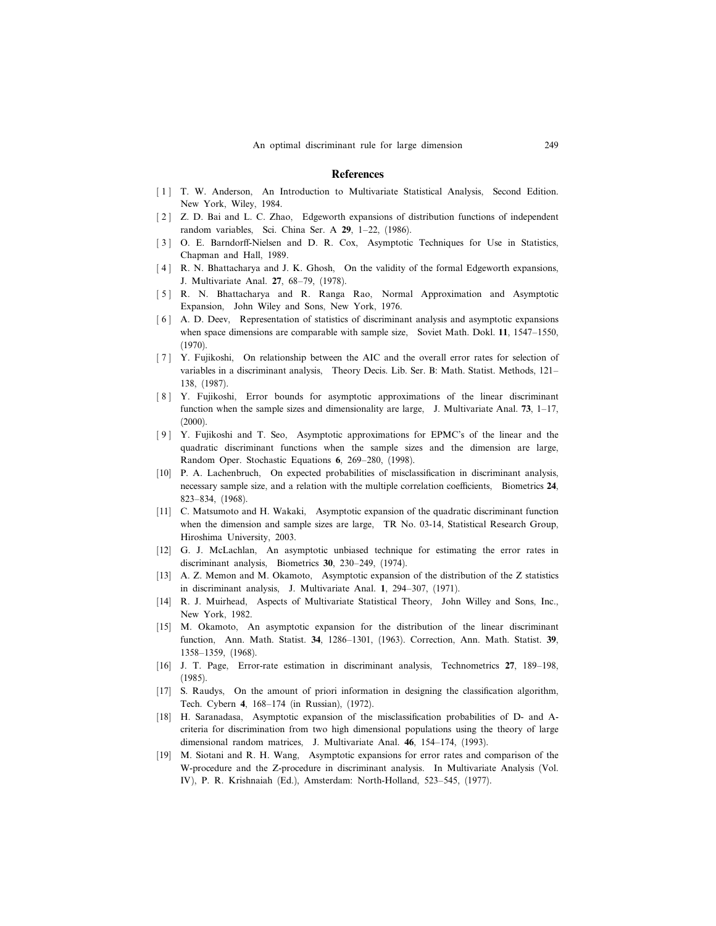#### **References**

- [1] T. W. Anderson, An Introduction to Multivariate Statistical Analysis, Second Edition. New York, Wiley, 1984.
- [2] Z. D. Bai and L. C. Zhao, Edgeworth expansions of distribution functions of independent random variables, Sci. China Ser. A 29, 1–22, (1986).
- [3] O. E. Barndorff-Nielsen and D. R. Cox, Asymptotic Techniques for Use in Statistics, Chapman and Hall, 1989.
- [4] R. N. Bhattacharya and J. K. Ghosh, On the validity of the formal Edgeworth expansions, J. Multivariate Anal. 27, 68–79, (1978).
- [5] R. N. Bhattacharya and R. Ranga Rao, Normal Approximation and Asymptotic Expansion, John Wiley and Sons, New York, 1976.
- [6] A. D. Deev, Representation of statistics of discriminant analysis and asymptotic expansions when space dimensions are comparable with sample size, Soviet Math. Dokl. 11, 1547–1550, (1970).
- [7] Y. Fujikoshi, On relationship between the AIC and the overall error rates for selection of variables in a discriminant analysis, Theory Decis. Lib. Ser. B: Math. Statist. Methods, 121– 138, (1987).
- [ 8 ] Y. Fujikoshi, Error bounds for asymptotic approximations of the linear discriminant function when the sample sizes and dimensionality are large, J. Multivariate Anal.  $73$ ,  $1-17$ ,  $(2000)$ .
- [ 9 ] Y. Fujikoshi and T. Seo, Asymptotic approximations for EPMC's of the linear and the quadratic discriminant functions when the sample sizes and the dimension are large, Random Oper. Stochastic Equations 6, 269–280, (1998).
- [10] P. A. Lachenbruch, On expected probabilities of misclassification in discriminant analysis, necessary sample size, and a relation with the multiple correlation coefficients, Biometrics 24, 823–834, (1968).
- [11] C. Matsumoto and H. Wakaki, Asymptotic expansion of the quadratic discriminant function when the dimension and sample sizes are large, TR No. 03-14, Statistical Research Group, Hiroshima University, 2003.
- [12] G. J. McLachlan, An asymptotic unbiased technique for estimating the error rates in discriminant analysis, Biometrics 30, 230–249, (1974).
- [13] A. Z. Memon and M. Okamoto, Asymptotic expansion of the distribution of the Z statistics in discriminant analysis, J. Multivariate Anal. 1, 294–307, (1971).
- [14] R. J. Muirhead, Aspects of Multivariate Statistical Theory, John Willey and Sons, Inc., New York, 1982.
- [15] M. Okamoto, An asymptotic expansion for the distribution of the linear discriminant function, Ann. Math. Statist. 34, 1286–1301, (1963). Correction, Ann. Math. Statist. 39, 1358–1359, (1968).
- [16] J. T. Page, Error-rate estimation in discriminant analysis, Technometrics 27, 189–198, (1985).
- [17] S. Raudys, On the amount of priori information in designing the classification algorithm, Tech. Cybern 4, 168–174 (in Russian), (1972).
- [18] H. Saranadasa, Asymptotic expansion of the misclassification probabilities of D- and Acriteria for discrimination from two high dimensional populations using the theory of large dimensional random matrices, J. Multivariate Anal. 46, 154–174, (1993).
- [19] M. Siotani and R. H. Wang, Asymptotic expansions for error rates and comparison of the W-procedure and the Z-procedure in discriminant analysis. In Multivariate Analysis (Vol. IV ), P. R. Krishnaiah (Ed.), Amsterdam: North-Holland, 523–545, (1977).